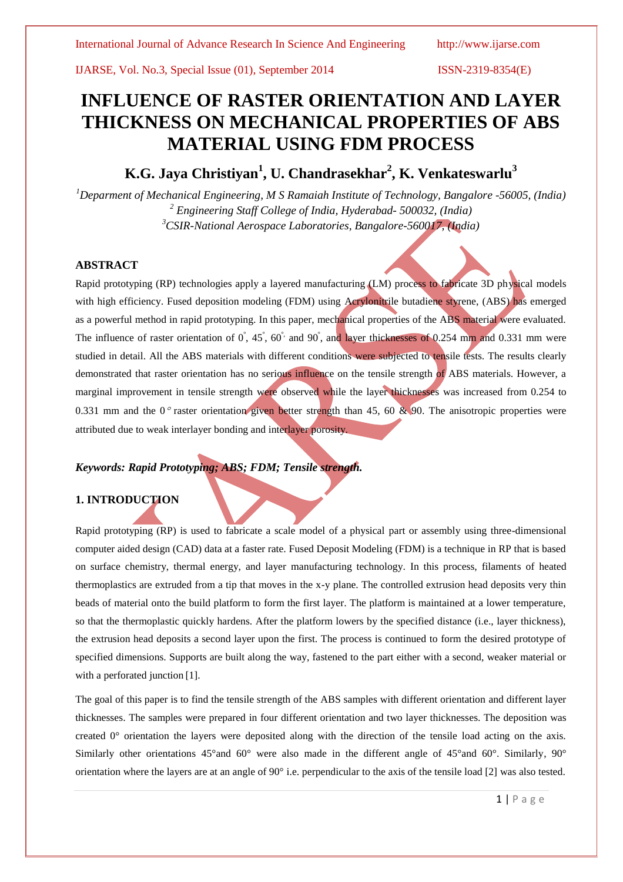IJARSE, Vol. No.3, Special Issue (01), September 2014 ISSN-2319-8354(E)

# **INFLUENCE OF RASTER ORIENTATION AND LAYER THICKNESS ON MECHANICAL PROPERTIES OF ABS MATERIAL USING FDM PROCESS**

**K.G. Jaya Christiyan<sup>1</sup> , U. Chandrasekhar<sup>2</sup> , K. Venkateswarlu<sup>3</sup>**

*<sup>1</sup>Deparment of Mechanical Engineering, M S Ramaiah Institute of Technology, Bangalore -56005, (India) <sup>2</sup> Engineering Staff College of India, Hyderabad- 500032, (India) <sup>3</sup>CSIR-National Aerospace Laboratories, Bangalore-560017, (India)*

# **ABSTRACT**

Rapid prototyping (RP) technologies apply a layered manufacturing (LM) process to fabricate 3D physical models with high efficiency. Fused deposition modeling (FDM) using Acrylonitrile butadiene styrene, (ABS) has emerged as a powerful method in rapid prototyping. In this paper, mechanical properties of the ABS material were evaluated. The influence of raster orientation of 0<sup>°</sup>, 45<sup>°</sup>, 60<sup>°,</sup> and 90<sup>°</sup>, and layer thicknesses of 0.254 mm and 0.331 mm were studied in detail. All the ABS materials with different conditions were subjected to tensile tests. The results clearly demonstrated that raster orientation has no serious influence on the tensile strength of ABS materials. However, a marginal improvement in tensile strength were observed while the layer thicknesses was increased from 0.254 to 0.331 mm and the 0<sup>o</sup> raster orientation given better strength than 45, 60 & 90. The anisotropic properties were attributed due to weak interlayer bonding and interlayer porosity.

# *Keywords: Rapid Prototyping; ABS; FDM; Tensile strength.*

# **1. INTRODUCTION**

Rapid prototyping (RP) is used to fabricate a scale model of a physical part or assembly using three-dimensional computer aided design (CAD) data at a faster rate. Fused Deposit Modeling (FDM) is a technique in RP that is based on surface chemistry, thermal energy, and layer manufacturing technology. In this process, filaments of heated thermoplastics are extruded from a tip that moves in the x-y plane. The controlled extrusion head deposits very thin beads of material onto the build platform to form the first layer. The platform is maintained at a lower temperature, so that the thermoplastic quickly hardens. After the platform lowers by the specified distance (i.e., layer thickness), the extrusion head deposits a second layer upon the first. The process is continued to form the desired prototype of specified dimensions. Supports are built along the way, fastened to the part either with a second, weaker material or with a perforated junction [1].

The goal of this paper is to find the tensile strength of the ABS samples with different orientation and different layer thicknesses. The samples were prepared in four different orientation and two layer thicknesses. The deposition was created  $0^{\circ}$  orientation the layers were deposited along with the direction of the tensile load acting on the axis. Similarly other orientations 45°and 60° were also made in the different angle of 45°and 60°. Similarly, 90° orientation where the layers are at an angle of  $90^\circ$  i.e. perpendicular to the axis of the tensile load [2] was also tested.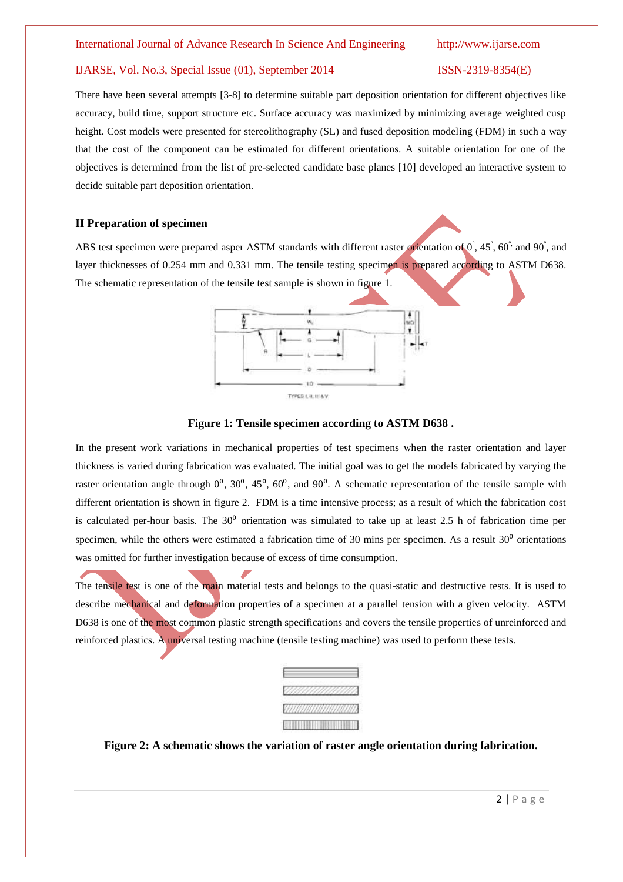### IJARSE, Vol. No.3, Special Issue (01), September 2014 ISSN-2319-8354(E)

There have been several attempts [3-8] to determine suitable part deposition orientation for different objectives like accuracy, build time, support structure etc. Surface accuracy was maximized by minimizing average weighted cusp height. Cost models were presented for stereolithography (SL) and fused deposition modeling (FDM) in such a way that the cost of the component can be estimated for different orientations. A suitable orientation for one of the objectives is determined from the list of pre-selected candidate base planes [10] developed an interactive system to decide suitable part deposition orientation.

# **II Preparation of specimen**

ABS test specimen were prepared asper ASTM standards with different raster orientation of  $0^{\circ}$ , 45°, 60° and 90°, and layer thicknesses of 0.254 mm and 0.331 mm. The tensile testing specimen is prepared according to ASTM D638. The schematic representation of the tensile test sample is shown in figure 1.



### **Figure 1: Tensile specimen according to ASTM D638 .**

In the present work variations in mechanical properties of test specimens when the raster orientation and layer thickness is varied during fabrication was evaluated. The initial goal was to get the models fabricated by varying the raster orientation angle through  $0^0$ ,  $30^0$ ,  $45^0$ ,  $60^0$ , and  $90^0$ . A schematic representation of the tensile sample with different orientation is shown in figure 2. FDM is a time intensive process; as a result of which the fabrication cost is calculated per-hour basis. The  $30^{\circ}$  orientation was simulated to take up at least 2.5 h of fabrication time per specimen, while the others were estimated a fabrication time of 30 mins per specimen. As a result  $30<sup>o</sup>$  orientations was omitted for further investigation because of excess of time consumption.

The tensile test is one of the main material tests and belongs to the quasi-static and destructive tests. It is used to describe mechanical and deformation properties of a specimen at a parallel tension with a given velocity. ASTM D638 is one of the most common plastic strength specifications and covers the tensile properties of unreinforced and reinforced plastics. A universal testing machine (tensile testing machine) was used to perform these tests.



**Figure 2: A schematic shows the variation of raster angle orientation during fabrication.**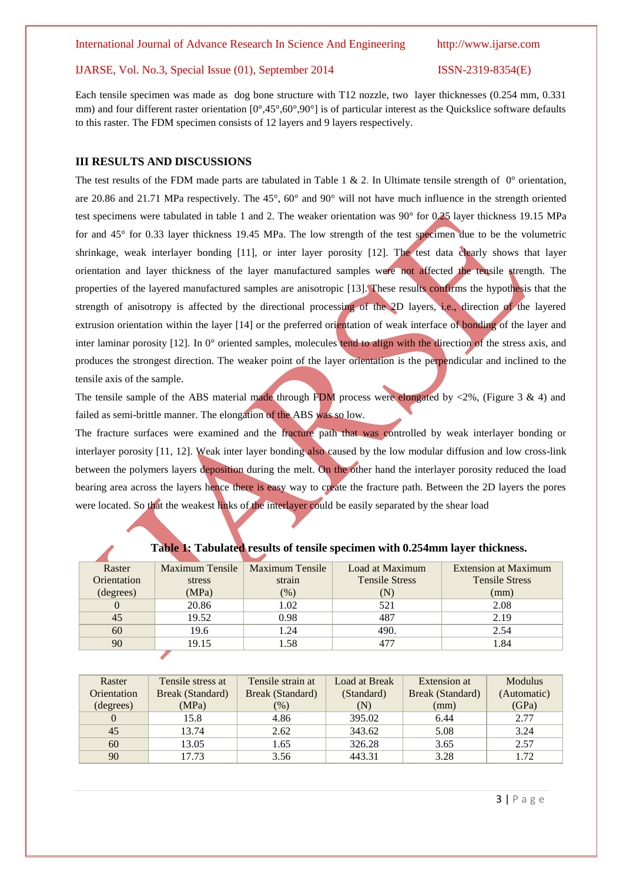#### International Journal of Advance Research In Science And Engineering http://www.ijarse.com

### IJARSE, Vol. No.3, Special Issue (01), September 2014 ISSN-2319-8354(E)

Each tensile specimen was made as dog bone structure with T12 nozzle, two layer thicknesses (0.254 mm, 0.331 mm) and four different raster orientation [0°,45°,60°,90°] is of particular interest as the Quickslice software defaults to this raster. The FDM specimen consists of 12 layers and 9 layers respectively.

### **III RESULTS AND DISCUSSIONS**

The test results of the FDM made parts are tabulated in Table 1 & 2. In Ultimate tensile strength of  $0^{\circ}$  orientation, are 20.86 and 21.71 MPa respectively. The 45°, 60° and 90° will not have much influence in the strength oriented test specimens were tabulated in table 1 and 2. The weaker orientation was 90° for 0.25 layer thickness 19.15 MPa for and 45° for 0.33 layer thickness 19.45 MPa. The low strength of the test specimen due to be the volumetric shrinkage, weak interlayer bonding [11], or inter layer porosity [12]. The test data clearly shows that layer orientation and layer thickness of the layer manufactured samples were not affected the tensile strength. The properties of the layered manufactured samples are anisotropic [13]. These results confirms the hypothesis that the strength of anisotropy is affected by the directional processing of the 2D layers, i.e., direction of the layered extrusion orientation within the layer [14] or the preferred orientation of weak interface of bonding of the layer and inter laminar porosity [12]. In 0° oriented samples, molecules tend to align with the direction of the stress axis, and produces the strongest direction. The weaker point of the layer orientation is the perpendicular and inclined to the tensile axis of the sample.

The tensile sample of the ABS material made through FDM process were elongated by  $\langle 2\%$ , (Figure 3 & 4) and failed as semi-brittle manner. The elongation of the ABS was so low.

The fracture surfaces were examined and the fracture path that was controlled by weak interlayer bonding or interlayer porosity [11, 12]. Weak inter layer bonding also caused by the low modular diffusion and low cross-link between the polymers layers deposition during the melt. On the other hand the interlayer porosity reduced the load bearing area across the layers hence there is easy way to create the fracture path. Between the 2D layers the pores were located. So that the weakest links of the interlayer could be easily separated by the shear load

| Raster      | <b>Maximum Tensile</b> | <b>Maximum Tensile</b> | Load at Maximum       | Extension at Maximum  |
|-------------|------------------------|------------------------|-----------------------|-----------------------|
| Orientation | stress                 | strain                 | <b>Tensile Stress</b> | <b>Tensile Stress</b> |
| (degrees)   | (MPa)                  | $(\%)$                 | $(\mathbf{N})$        | (mm)                  |
|             | 20.86                  | 1.02                   | 521                   | 2.08                  |
| 45          | 19.52                  | 0.98                   | 487                   | 2.19                  |
| 60          | 19.6                   | 1.24                   | 490.                  | 2.54                  |
| 90          | 19.15                  | 1.58                   | 477                   | .84                   |
|             |                        |                        |                       |                       |

**Table 1: Tabulated results of tensile specimen with 0.254mm layer thickness.**

| Raster      | Tensile stress at | Tensile strain at | Load at Break | Extension at     | <b>Modulus</b> |
|-------------|-------------------|-------------------|---------------|------------------|----------------|
| Orientation | Break (Standard)  | Break (Standard)  | (Standard)    | Break (Standard) | (Automatic)    |
| (degrees)   | (MPa)             | $(\%)$            | (N)           | (mm)             | (GPa)          |
|             | 15.8              | 4.86              | 395.02        | 6.44             | 2.77           |
| 45          | 13.74             | 2.62              | 343.62        | 5.08             | 3.24           |
| 60          | 13.05             | 1.65              | 326.28        | 3.65             | 2.57           |
| 90          | 17.73             | 3.56              | 443.31        | 3.28             | 1.72           |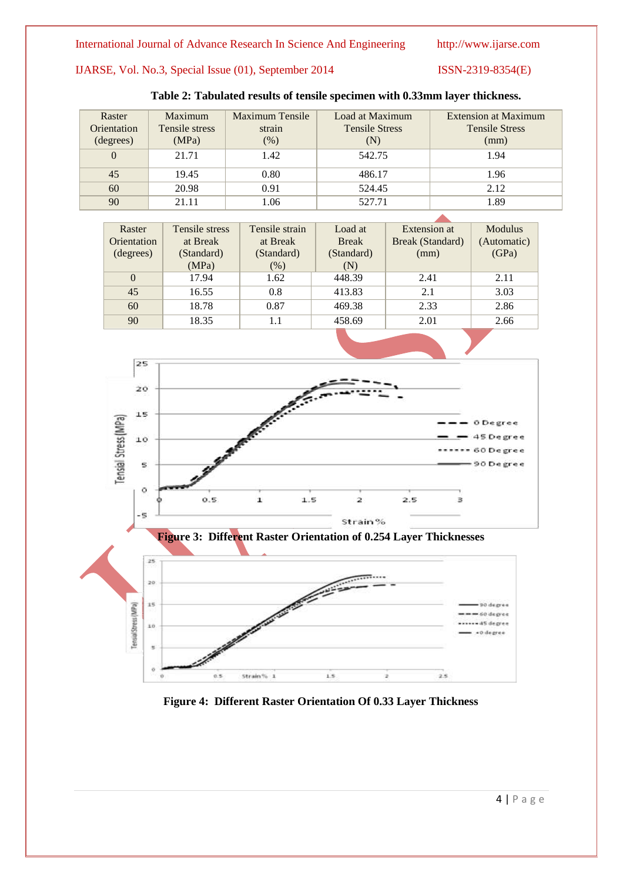# IJARSE, Vol. No.3, Special Issue (01), September 2014 ISSN-2319-8354(E)

| Raster<br>Orientation<br>(degrees) | Maximum<br>Tensile stress<br>(MPa) | Maximum Tensile<br>strain<br>$(\%)$ | Load at Maximum<br><b>Tensile Stress</b><br>(N) | Extension at Maximum<br><b>Tensile Stress</b><br>(mm) |
|------------------------------------|------------------------------------|-------------------------------------|-------------------------------------------------|-------------------------------------------------------|
| $\Omega$                           | 21.71                              | 1.42                                | 542.75                                          | 1.94                                                  |
| 45                                 | 19.45                              | 0.80                                | 486.17                                          | 1.96                                                  |
| 60                                 | 20.98                              | 0.91                                | 524.45                                          | 2.12                                                  |
| 90                                 | 21.11                              | 1.06                                | 527.71                                          | 1.89                                                  |

# **Table 2: Tabulated results of tensile specimen with 0.33mm layer thickness.**

| Raster      | Tensile stress | Tensile strain | Load at      | Extension at     | <b>Modulus</b> |
|-------------|----------------|----------------|--------------|------------------|----------------|
| Orientation | at Break       | at Break       | <b>Break</b> | Break (Standard) | (Automatic)    |
| (degrees)   | (Standard)     | (Standard)     | (Standard)   | (mm)             | (GPa)          |
|             | (MPa)          | $(\%)$         | (N)          |                  |                |
| $\theta$    | 17.94          | 1.62           | 448.39       | 2.41             | 2.11           |
| 45          | 16.55          | 0.8            | 413.83       | 2.1              | 3.03           |
| 60          | 18.78          | 0.87           | 469.38       | 2.33             | 2.86           |
| 90          | 18.35          | 1.1            | 458.69       | 2.01             | 2.66           |
|             |                |                |              |                  |                |





# **Figure 4: Different Raster Orientation Of 0.33 Layer Thickness**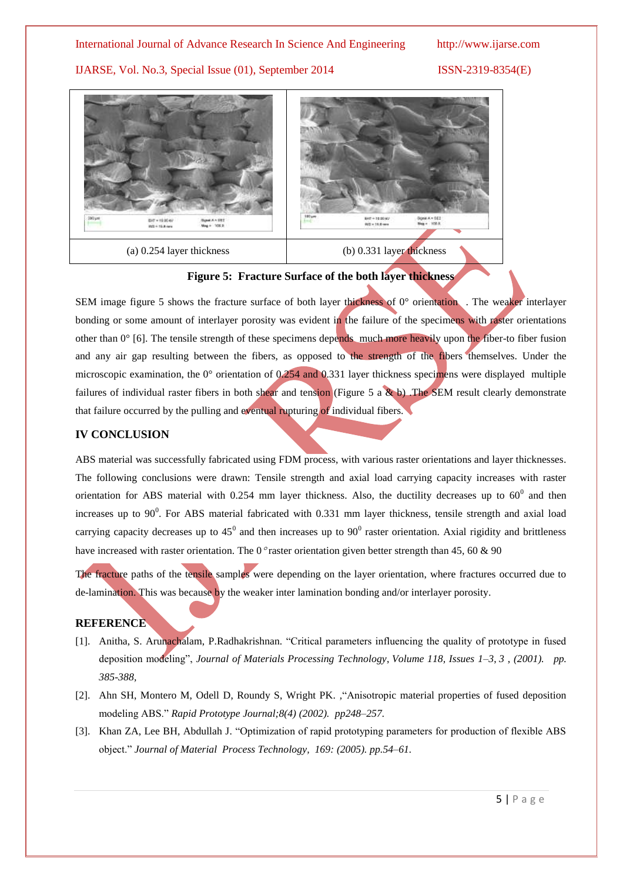# International Journal of Advance Research In Science And Engineering http://www.ijarse.com

IJARSE, Vol. No.3, Special Issue (01), September 2014 ISSN-2319-8354(E)





SEM image figure 5 shows the fracture surface of both layer thickness of  $0^{\circ}$  orientation. The weaker interlayer bonding or some amount of interlayer porosity was evident in the failure of the specimens with raster orientations other than 0° [6]. The tensile strength of these specimens depends much more heavily upon the fiber-to fiber fusion and any air gap resulting between the fibers, as opposed to the strength of the fibers themselves. Under the microscopic examination, the 0° orientation of 0.254 and 0.331 layer thickness specimens were displayed multiple failures of individual raster fibers in both shear and tension (Figure 5 a & b) .The SEM result clearly demonstrate that failure occurred by the pulling and eventual rupturing of individual fibers.

# **IV CONCLUSION**

ABS material was successfully fabricated using FDM process, with various raster orientations and layer thicknesses. The following conclusions were drawn: Tensile strength and axial load carrying capacity increases with raster orientation for ABS material with 0.254 mm layer thickness. Also, the ductility decreases up to  $60^{\circ}$  and then increases up to  $90^0$ . For ABS material fabricated with 0.331 mm layer thickness, tensile strength and axial load carrying capacity decreases up to  $45^0$  and then increases up to  $90^0$  raster orientation. Axial rigidity and brittleness have increased with raster orientation. The 0° raster orientation given better strength than 45, 60 & 90

The fracture paths of the tensile samples were depending on the layer orientation, where fractures occurred due to de-lamination. This was because by the weaker inter lamination bonding and/or interlayer porosity.

## **REFERENCE**

- [1]. Anitha, S. Arunachalam, P.Radhakrishnan. "Critical parameters influencing the quality of prototype in fused deposition modeling", *Journal of Materials Processing Technology*, *Volume 118, Issues 1–3*, *3* , *(2001). pp. 385-388,*
- [2]. Ahn SH, Montero M, Odell D, Roundy S, Wright PK. *,*"Anisotropic material properties of fused deposition modeling ABS." *Rapid Prototype Journal;8(4) (2002). pp248–257.*
- [3]. Khan ZA, Lee BH, Abdullah J. "Optimization of rapid prototyping parameters for production of flexible ABS object." *Journal of Material Process Technology, 169: (2005). pp.54–61.*